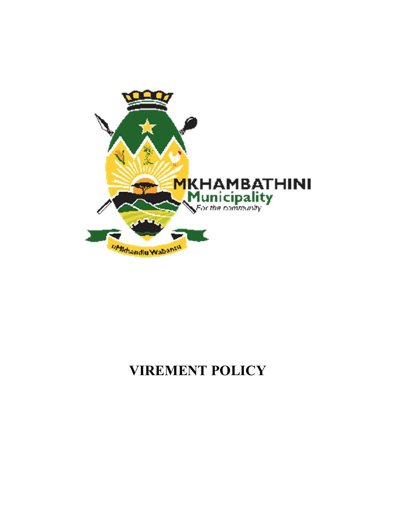

# **VIREMENT POLICY**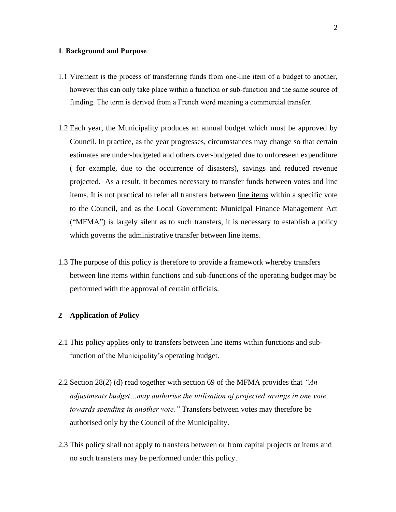#### **1**. **Background and Purpose**

- 1.1 Virement is the process of transferring funds from one-line item of a budget to another, however this can only take place within a function or sub-function and the same source of funding. The term is derived from a French word meaning a commercial transfer.
- 1.2 Each year, the Municipality produces an annual budget which must be approved by Council. In practice, as the year progresses, circumstances may change so that certain estimates are under-budgeted and others over-budgeted due to unforeseen expenditure ( for example, due to the occurrence of disasters), savings and reduced revenue projected. As a result, it becomes necessary to transfer funds between votes and line items. It is not practical to refer all transfers between line items within a specific vote to the Council, and as the Local Government: Municipal Finance Management Act ("MFMA") is largely silent as to such transfers, it is necessary to establish a policy which governs the administrative transfer between line items.
- 1.3 The purpose of this policy is therefore to provide a framework whereby transfers between line items within functions and sub-functions of the operating budget may be performed with the approval of certain officials.

#### **2 Application of Policy**

- 2.1 This policy applies only to transfers between line items within functions and subfunction of the Municipality's operating budget.
- 2.2 Section 28(2) (d) read together with section 69 of the MFMA provides that *"An adjustments budget…may authorise the utilisation of projected savings in one vote towards spending in another vote."* Transfers between votes may therefore be authorised only by the Council of the Municipality.
- 2.3 This policy shall not apply to transfers between or from capital projects or items and no such transfers may be performed under this policy.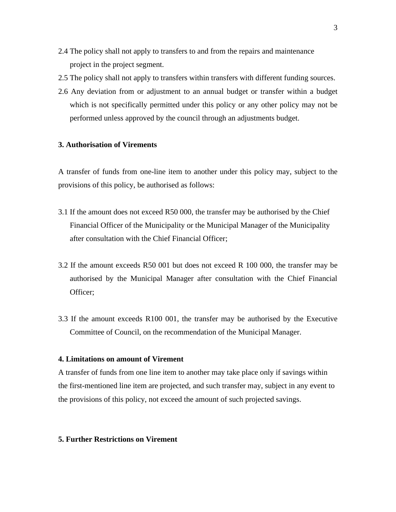- 2.4 The policy shall not apply to transfers to and from the repairs and maintenance project in the project segment.
- 2.5 The policy shall not apply to transfers within transfers with different funding sources.
- 2.6 Any deviation from or adjustment to an annual budget or transfer within a budget which is not specifically permitted under this policy or any other policy may not be performed unless approved by the council through an adjustments budget.

## **3. Authorisation of Virements**

A transfer of funds from one-line item to another under this policy may, subject to the provisions of this policy, be authorised as follows:

- 3.1 If the amount does not exceed R50 000, the transfer may be authorised by the Chief Financial Officer of the Municipality or the Municipal Manager of the Municipality after consultation with the Chief Financial Officer;
- 3.2 If the amount exceeds R50 001 but does not exceed R 100 000, the transfer may be authorised by the Municipal Manager after consultation with the Chief Financial Officer;
- 3.3 If the amount exceeds R100 001, the transfer may be authorised by the Executive Committee of Council, on the recommendation of the Municipal Manager.

## **4. Limitations on amount of Virement**

A transfer of funds from one line item to another may take place only if savings within the first-mentioned line item are projected, and such transfer may, subject in any event to the provisions of this policy, not exceed the amount of such projected savings.

#### **5. Further Restrictions on Virement**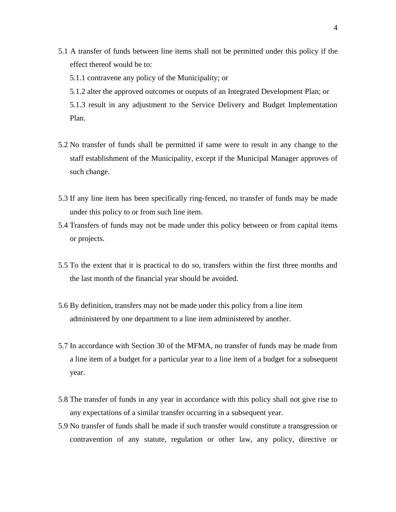- 5.1 A transfer of funds between line items shall not be permitted under this policy if the effect thereof would be to:
	- 5.1.1 contravene any policy of the Municipality; or
	- 5.1.2 alter the approved outcomes or outputs of an Integrated Development Plan; or

5.1.3 result in any adjustment to the Service Delivery and Budget Implementation Plan.

- 5.2 No transfer of funds shall be permitted if same were to result in any change to the staff establishment of the Municipality, except if the Municipal Manager approves of such change.
- 5.3 If any line item has been specifically ring-fenced, no transfer of funds may be made under this policy to or from such line item.
- 5.4 Transfers of funds may not be made under this policy between or from capital items or projects.
- 5.5 To the extent that it is practical to do so, transfers within the first three months and the last month of the financial year should be avoided.
- 5.6 By definition, transfers may not be made under this policy from a line item administered by one department to a line item administered by another.
- 5.7 In accordance with Section 30 of the MFMA, no transfer of funds may be made from a line item of a budget for a particular year to a line item of a budget for a subsequent year.
- 5.8 The transfer of funds in any year in accordance with this policy shall not give rise to any expectations of a similar transfer occurring in a subsequent year.
- 5.9 No transfer of funds shall be made if such transfer would constitute a transgression or contravention of any statute, regulation or other law, any policy, directive or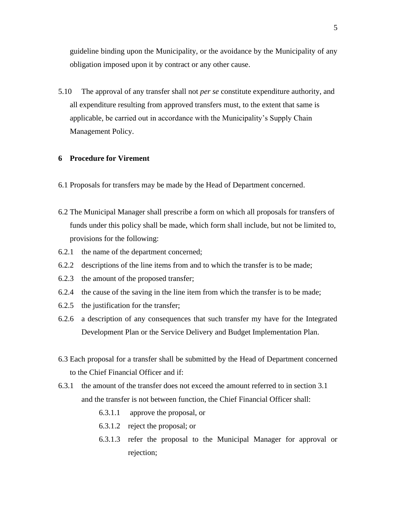guideline binding upon the Municipality, or the avoidance by the Municipality of any obligation imposed upon it by contract or any other cause.

5.10 The approval of any transfer shall not *per se* constitute expenditure authority, and all expenditure resulting from approved transfers must, to the extent that same is applicable, be carried out in accordance with the Municipality's Supply Chain Management Policy.

#### **6 Procedure for Virement**

- 6.1 Proposals for transfers may be made by the Head of Department concerned.
- 6.2 The Municipal Manager shall prescribe a form on which all proposals for transfers of funds under this policy shall be made, which form shall include, but not be limited to, provisions for the following:
- 6.2.1 the name of the department concerned;
- 6.2.2 descriptions of the line items from and to which the transfer is to be made;
- 6.2.3 the amount of the proposed transfer;
- 6.2.4 the cause of the saving in the line item from which the transfer is to be made;
- 6.2.5 the justification for the transfer;
- 6.2.6 a description of any consequences that such transfer my have for the Integrated Development Plan or the Service Delivery and Budget Implementation Plan.
- 6.3 Each proposal for a transfer shall be submitted by the Head of Department concerned to the Chief Financial Officer and if:
- 6.3.1 the amount of the transfer does not exceed the amount referred to in section 3.1 and the transfer is not between function, the Chief Financial Officer shall:
	- 6.3.1.1 approve the proposal, or
	- 6.3.1.2 reject the proposal; or
	- 6.3.1.3 refer the proposal to the Municipal Manager for approval or rejection;